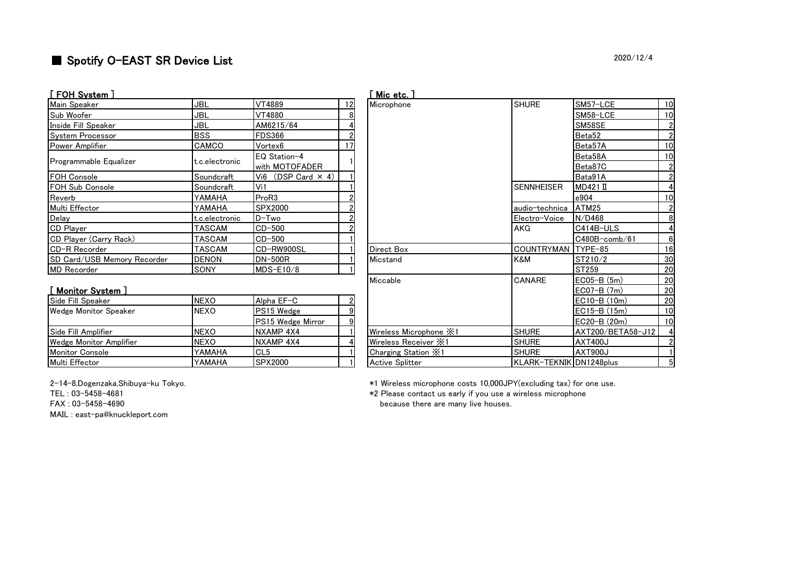# ■ Spotify O-EAST SR Device List 2020/12/4

| [ FOH System ]              |                |                                |    | Mic etc.   |
|-----------------------------|----------------|--------------------------------|----|------------|
| Main Speaker                | <b>JBL</b>     | VT4889                         | 12 | Microphone |
| Sub Woofer                  | JBL            | VT4880                         | 8  |            |
| Inside Fill Speaker         | JBL            | AM6215/64                      |    |            |
| <b>System Processor</b>     | <b>BSS</b>     | <b>FDS366</b>                  |    |            |
| Power Amplifier             | CAMCO          | Vortex <sub>6</sub>            | 17 |            |
| Programmable Equalizer      | t.c.electronic | EQ Station-4<br>with MOTOFADER |    |            |
| <b>FOH Console</b>          | Soundcraft     | Vi6 (DSP Card $\times$ 4)      |    |            |
| FOH Sub Console             | Soundcraft     | Vi1                            |    |            |
| Reverb                      | YAMAHA         | ProR3                          |    |            |
| Multi Effector              | YAMAHA         | SPX2000                        |    |            |
| Delay                       | t.c.electronic | D-Two                          |    |            |
| <b>CD</b> Player            | <b>TASCAM</b>  | $CD-500$                       |    |            |
| CD Player (Carry Rack)      | TASCAM         | $CD-500$                       |    |            |
| CD-R Recorder               | TASCAM         | CD-RW900SL                     |    | Direct Box |
| SD Card/USB Memory Recorder | <b>DENON</b>   | <b>DN-500R</b>                 |    | Micstand   |
| <b>MD</b> Recorder          | SONY           | MDS-E10/8                      |    |            |

| LIVII UJULUIII J            |                |                                |    | . שטע שוויו                            |                          |                    |    |
|-----------------------------|----------------|--------------------------------|----|----------------------------------------|--------------------------|--------------------|----|
| Main Speaker                | <b>JBL</b>     | VT4889                         | 12 | Microphone                             | <b>SHURE</b>             | SM57-LCE           | 10 |
| Sub Woofer                  | JBL            | VT4880                         |    |                                        |                          | SM58-LCE           | 10 |
| Inside Fill Speaker         | JBL            | AM6215/64                      |    |                                        |                          | SM58SE             |    |
| System Processor            | <b>BSS</b>     | <b>FDS366</b>                  |    |                                        |                          | Beta52             |    |
| Power Amplifier             | CAMCO          | Vortex6                        |    |                                        |                          | Beta57A            | 10 |
| Programmable Equalizer      | t.c.electronic | EQ Station-4<br>with MOTOFADER |    |                                        |                          | Beta58A<br>Beta87C | 10 |
| FOH Console                 | Soundcraft     | Vi6 (DSP Card $\times$ 4)      |    |                                        |                          | Bata91A            |    |
| FOH Sub Console             | Soundcraft     | Vi1                            |    |                                        | <b>SENNHEISER</b>        | $MD421$ II         |    |
| Reverb                      | <b>YAMAHA</b>  | ProR3                          |    |                                        |                          | e904               | 10 |
| Multi Effector              | YAMAHA         | SPX2000                        |    |                                        | audio-technica           | ATM25              |    |
| Delay                       | t.c.electronic | $D-Two$                        |    |                                        | Electro-Voice            | N/D468             | 8  |
| <b>CD Player</b>            | TASCAM         | $CD-500$                       |    |                                        | AKG                      | C414B-ULS          |    |
| CD Player (Carry Rack)      | TASCAM         | $CD-500$                       |    |                                        |                          | $C480B$ -comb/61   |    |
| CD-R Recorder               | TASCAM         | CD-RW900SL                     |    | Direct Box                             | COUNTRYMAN TYPE-85       |                    | 16 |
| SD Card/USB Memory Recorder | <b>DENON</b>   | <b>DN-500R</b>                 |    | Micstand                               | K&M                      | ST210/2            | 30 |
| MD Recorder                 | SONY           | $MDS-E10/8$                    |    |                                        |                          | ST259              | 20 |
|                             |                |                                |    | Miccable                               | <b>CANARE</b>            | $ECO5-B(5m)$       | 20 |
| <u>[ Monitor System ]</u>   |                |                                |    |                                        |                          | $ECO7-B(7m)$       | 20 |
| Side Fill Speaker           | <b>NEXO</b>    | Alpha EF-C                     |    |                                        |                          | $EC10-B(10m)$      | 20 |
| Wedge Monitor Speaker       | <b>NEXO</b>    | PS15 Wedge                     | 9  |                                        |                          | $EC15-B(15m)$      | 10 |
|                             |                | PS15 Wedge Mirror              |    |                                        |                          | EC20-B (20m)       | 10 |
| Side Fill Amplifier         | <b>NEXO</b>    | NXAMP 4X4                      |    | Wireless Microphone $\divideontimes 1$ | <b>SHURE</b>             | AXT200/BETA58-J12  |    |
| Wedge Monitor Amplifier     | <b>NEXO</b>    | NXAMP 4X4                      |    | Wireless Receiver X1                   | <b>SHURE</b>             | <b>AXT400J</b>     |    |
| Monitor Console             | YAMAHA         | CL <sub>5</sub>                |    | Charging Station X1                    | <b>SHURE</b>             | AXT900J            |    |
| Multi Effector              | <b>NAMAHA</b>  | SPX2000                        |    | Active Splitter                        | KI ARK-TEKNIK DN1248plus |                    |    |

### [ Monitor System ]

| Side Fill Speaker       | <b>NEXO</b> | Alpha EF-C               |  |                             |                         | $EC10-B(10m)$     | -20 |
|-------------------------|-------------|--------------------------|--|-----------------------------|-------------------------|-------------------|-----|
| Wedge Monitor Speaker   | <b>NEXO</b> | <b>PS15 Wedge</b>        |  |                             |                         | $EC15-B(15m)$     |     |
|                         |             | <b>PS15 Wedge Mirror</b> |  |                             |                         | $EC20-B(20m)$     |     |
| Side Fill Amplifier     | <b>NEXO</b> | NXAMP 4X4                |  | Wireless Microphone $\ge 1$ | <b>SHURE</b>            | AXT200/BETA58-J12 |     |
| Wedge Monitor Amplifier | <b>NEXO</b> | NXAMP 4X4                |  | Wireless Receiver X1        | <b>SHURE</b>            | <b>LAXT400J</b>   |     |
| <b>Monitor Console</b>  | YAMAHA      | CL <sub>5</sub>          |  | Charging Station X1         | <b>SHURE</b>            | <b>AXT900J</b>    |     |
| Multi Effector          | YAMAHA      | <b>SPX2000</b>           |  | <b>Active Splitter</b>      | KLARK-TEKNIKIDN1248plus |                   |     |

MAIL : east-pa@knuckleport.com

2-14-8,㻰ogenzaka,㻿hibuya-ku 㼀okyo. \*1 㼃ireless microphone costs 10,000㻶㻼㼅(excluding tax) for one use.

㼀㻱㻸 : 03-5458-4681 \*2 㻼lease contact us early if you use a wireless microphone FAX: 03-5458-4690 **FAX**: 03-5458-4690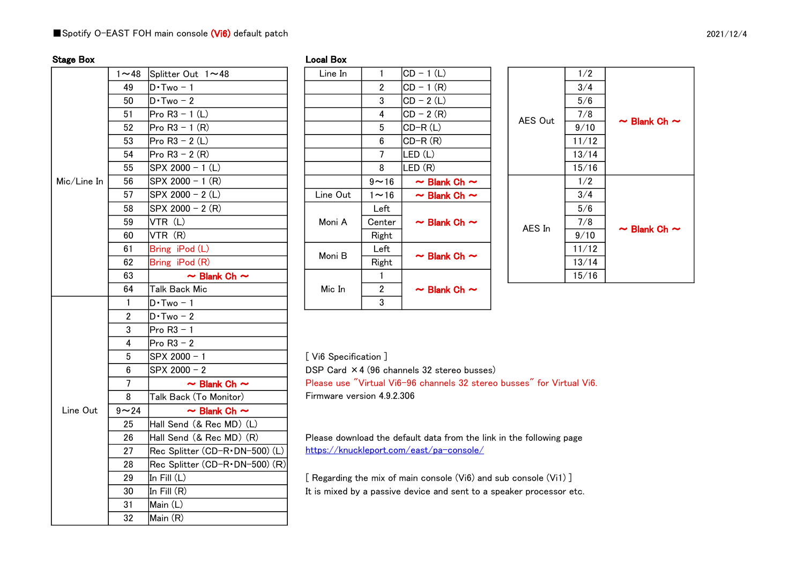### ■Spotify O-EAST FOH main console (Vi6) default patch

| Local Bo› |
|-----------|
|-----------|

| <b>Stage Box</b> |                |                                  | <b>Local Box</b>        |                 |
|------------------|----------------|----------------------------------|-------------------------|-----------------|
|                  | $1 - 48$       | Splitter Out 1~48                | Line In                 | 1               |
|                  | 49             | $D \cdot Two - 1$                |                         | $\overline{2}$  |
|                  | 50             | $D \cdot Two - 2$                |                         | 3               |
|                  | 51             | Pro $R3 - 1$ (L)                 |                         | 4               |
|                  | 52             | Pro $R3 - 1 (R)$                 |                         | 5               |
|                  | 53             | Pro $R3 - 2(L)$                  |                         | $6\phantom{1}6$ |
|                  | 54             | Pro $R3 - 2(R)$                  |                         | $\overline{7}$  |
|                  | 55             | SPX 2000 - 1 (L)                 |                         | 8               |
| Mic/Line In      | 56             | SPX 2000 - 1 (R)                 |                         | $9\sim$         |
|                  | 57             | SPX 2000 - 2 (L)                 | Line Out                | 1 $\sim$        |
|                  | 58             | SPX 2000 - 2 $(R)$               |                         | Le              |
|                  | 59             | VTR (L)                          | Moni A                  | Cen             |
|                  | 60             | VTR (R)                          |                         | Rig             |
|                  | 61             | Bring iPod (L)                   | Moni B                  | Le              |
|                  | 62             | Bring iPod (R)                   |                         | Rig             |
|                  | 63             | $\sim$ Blank Ch $\sim$           |                         | 1               |
|                  | 64             | <b>Talk Back Mic</b>             | Mic In                  | $\overline{2}$  |
|                  | $\mathbf{1}$   | $D \cdot Two - 1$                |                         | 3               |
|                  | $\overline{2}$ | $D \cdot Two - 2$                |                         |                 |
|                  | 3              | Pro $R3 - 1$                     |                         |                 |
|                  | $\overline{4}$ | Pro $R3 - 2$                     |                         |                 |
|                  | 5              | SPX 2000 - 1                     | [Vi6 Specification      |                 |
|                  | 6              | SPX 2000 - 2                     | DSP Card $\times$ 4 (96 |                 |
|                  | 7              | $\sim$ Blank Ch $\sim$           | Please use "Virtua      |                 |
|                  | 8              | Talk Back (To Monitor)           | Firmware version 4      |                 |
| Line Out         | $9 - 24$       | $\sim$ Blank Ch $\sim$           |                         |                 |
|                  | 25             | Hall Send (& Rec MD) (L)         |                         |                 |
|                  | 26             | Hall Send (& Rec MD) (R)         | Please download th      |                 |
|                  | 27             | Rec Splitter (CD-R · DN-500) (L) | https://knucklepor      |                 |
|                  | 28             | Rec Splitter (CD-R·DN-500) (R)   |                         |                 |
|                  | 29             | In Fill (L)                      | [ Regarding the mix     |                 |
|                  | 30             | In Fill (R)                      | It is mixed by a pas    |                 |
|                  | 31             | Main (L)                         |                         |                 |
|                  | 32             | Main (R)                         |                         |                 |

| $-48$        | Splitter Out $1 \sim 48$ | Line In  |                | CD - 1 (L)             |         | 1/2   |
|--------------|--------------------------|----------|----------------|------------------------|---------|-------|
| 49           | $D \cdot Two - 1$        |          | $\overline{2}$ | $ CD - 1(R) $          |         | 3/4   |
| 50           | $D\cdot Two-2$           |          | 3              | $CD - 2(L)$            |         | 5/6   |
| 51           | Pro R3 - 1 (L)           |          | 4              | $ CD - 2(R) $          | AES Out | 7/8   |
| 52           | $Pro R3 - 1 (R)$         |          | 5              | CD-R(L)                |         | 9/10  |
| 53           | $Pro R3 - 2 (L)$         |          | 6              | $CD-R(R)$              |         | 11/12 |
| 54           | $Pro R3 - 2 (R)$         |          | 7              | LED (L)                |         | 13/14 |
| 55           | SPX 2000 - 1 (L)         |          | 8              | LED (R)                |         | 15/16 |
| 56           | SPX 2000 - 1 (R)         |          | $9 - 16$       | $\sim$ Blank Ch $\sim$ |         | 1/2   |
| 57           | SPX 2000 - 2 (L)         | Line Out | $1 \sim 16$    | $\sim$ Blank Ch $\sim$ |         | 3/4   |
| 58           | SPX 2000 - 2 (R)         |          | Left           |                        |         | 5/6   |
| 59           | VTR(L)                   | Moni A   | Center         | $\sim$ Blank Ch $\sim$ | AES In  | 7/8   |
| 60           | VTR (R)                  |          | Right          |                        |         | 9/10  |
| 61           | Bring iPod (L)           | Moni B   | Left           | $\sim$ Blank Ch $\sim$ |         | 11/12 |
| 62           | Bring iPod (R)           |          | Right          |                        |         | 13/14 |
| 63           | $\sim$ Blank Ch $\sim$   |          |                |                        |         | 15/16 |
| 64           | Talk Back Mic            | Mic In   | $\overline{2}$ | $\sim$ Blank Ch $\sim$ |         |       |
| $\mathbf{1}$ | $D \cdot Two - 1$        |          | 3              |                        |         |       |

| 1/2                                       |
|-------------------------------------------|
|                                           |
| 3/4                                       |
| 5/6                                       |
| 7/8                                       |
| AES Out<br>$\sim$ Blank Ch $\sim$<br>9/10 |
| 11/12                                     |
| 13/14                                     |
| 15/16                                     |
| 1/2                                       |
| 3/4                                       |
| 5/6                                       |
| 7/8<br>AES In<br>$\sim$ Blank Ch $\sim$   |
| 9/10                                      |
| 11/12                                     |
| 13/14                                     |
| 15/16                                     |

[ Vi6 Specification ]

DSP Card  $\times$  4 (96 channels 32 stereo busses)

Firmware version 4.9.2.306 Please use "Virtual Vi6-96 channels 32 stereo busses" for Virtual Vi6.

 Please download the default data from the link in the following page https://knuckleport.com/east/pa-console/

 $[$  Regarding the mix of main console (Vi6) and sub console (Vi1)  $]$ It is mixed by a passive device and sent to a speaker processor etc.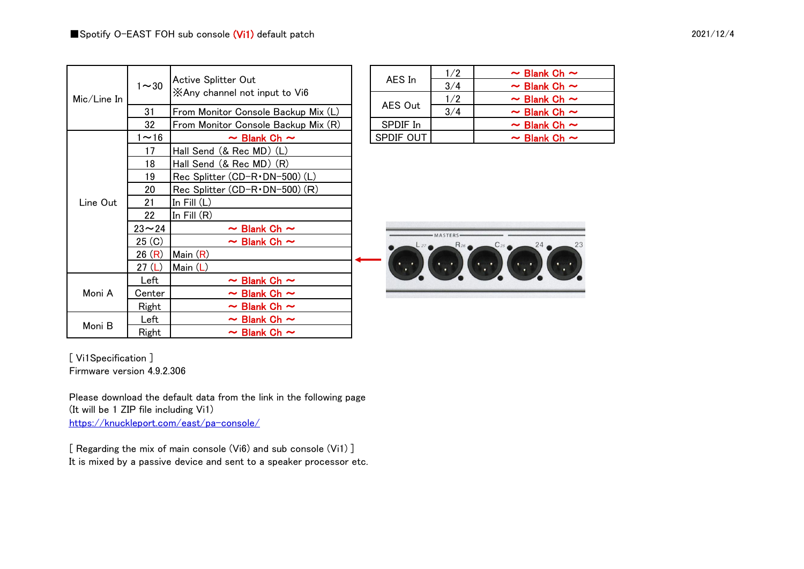21  $\ln$  Fill (L) 22  $\ln$  Fill  $(R)$ 

26  $(R)$  Main  $(R)$ 27 (L) Main (L)

Moni B  $\begin{array}{|l|c|c|c|}\n\hline\n\text{Left} & \sim \text{Blank Ch} \sim \\
\hline\n\text{Right} & \sim \text{Blank Ch} \sim \\
\hline\n\end{array}$ 

|             |                                                      |           | 1/2 | $\sim$ Blank Ch $\sim$ |
|-------------|------------------------------------------------------|-----------|-----|------------------------|
| $1 - 30$    | Active Splitter Out<br>XAny channel not input to Vi6 | AES In    | 3/4 | $\sim$ Blank Ch $\sim$ |
|             |                                                      |           | 1/2 | $\sim$ Blank Ch $\sim$ |
| 31          | From Monitor Console Backup Mix (L)                  | AES Out   | 3/4 | $\sim$ Blank Ch $\sim$ |
| 32          | From Monitor Console Backup Mix (R)                  | SPDIF In  |     | $\sim$ Blank Ch $\sim$ |
| $1~1$ $~16$ | $\sim$ Blank Ch $\sim$                               | SPDIF OUT |     | $\sim$ Blank Ch $\sim$ |
| 17          | Hall Send (& Rec MD) (L)                             |           |     |                        |
| 18          | Hall Send (& Rec MD) (R)                             |           |     |                        |

|            | 1/2 | $\sim$ Blank Ch $\sim$             |
|------------|-----|------------------------------------|
| AES In     | 3/4 | $\sim$ Blank Ch $\sim$             |
| AES Out    | 1/2 | $\sim$ Blank Ch $\sim$             |
|            | 3/4 | $\sim$ Blank Ch $\sim$             |
| SPDIF In   |     | $\sim$ Blank Ch $\sim$             |
| ADNIF AIIF |     | $\sim$ $\sim$ $\sim$ $\sim$ $\sim$ |

|   | -MASTERS-<br>$R_{26}$ | $C_{25}$ | 24 | 23 |
|---|-----------------------|----------|----|----|
| ٠ |                       |          |    | п  |
|   |                       |          |    |    |

[ Vi1Specification ] Firmware version 4.9.2.306

Mic/Line In

Line Out

Moni A

Please download the default data from the link in the following page (It will be  $1$  ZIP file including  $Vi1$ ) https://knuckleport.com/east/pa-console/

19 Rec Splitter (CD-R · DN-500) (L) 20  $[Rec Splitter (CD-R \cdot DN-500) (R)]$ 

 $23 \sim 24$   $\sim$  Blank Ch  $\sim$  $25$  (C)  $\sim$  Blank Ch  $\sim$ 

Left  $\vert \hspace{1cm} \sim$  Blank Ch  $\sim$ Center  $\sim$  Blank Ch  $\sim$ Right  $\parallel$   $\sim$  Blank Ch  $\sim$ 

[ Regarding the mix of main console (Vi6) and sub console (Vi1) ] It is mixed by a passive device and sent to a speaker processor etc.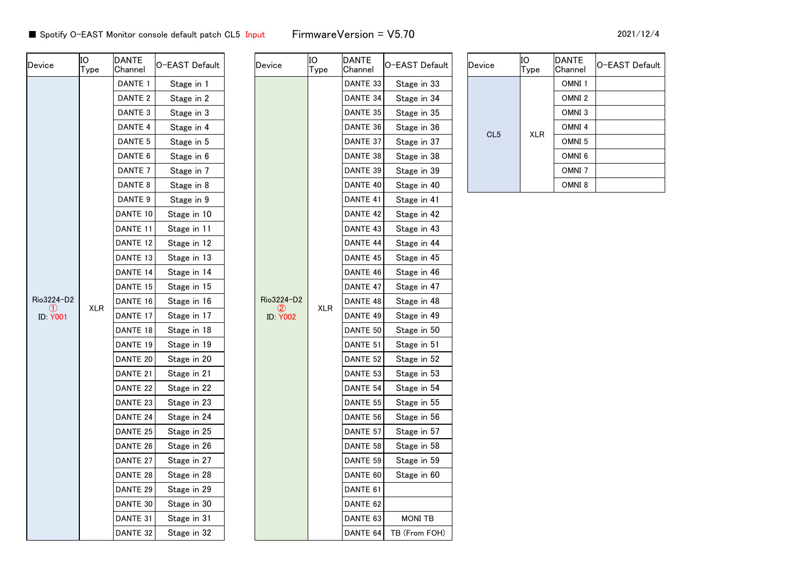| Device                               | lЮ<br> Type | <b>DANTE</b><br>Channel | O-EAST Default | Device          | IO<br>Type | DANTE<br>Channel | O-EAST Default | Device          | ΙO<br>Type | <b>DANTE</b><br>Channel | lO−EAST Default |
|--------------------------------------|-------------|-------------------------|----------------|-----------------|------------|------------------|----------------|-----------------|------------|-------------------------|-----------------|
|                                      |             | DANTE 1                 | Stage in 1     |                 |            | DANTE 33         | Stage in 33    |                 |            | OMNI1                   |                 |
|                                      |             | DANTE <sub>2</sub>      | Stage in 2     |                 |            | DANTE 34         | Stage in 34    |                 |            | OMNI <sub>2</sub>       |                 |
|                                      |             | DANTE <sub>3</sub>      | Stage in 3     |                 |            | DANTE 35         | Stage in 35    |                 |            | OMNI <sub>3</sub>       |                 |
|                                      |             | DANTE 4                 | Stage in 4     |                 |            | DANTE 36         | Stage in 36    | CL <sub>5</sub> |            | OMNI 4                  |                 |
|                                      |             | DANTE <sub>5</sub>      | Stage in 5     |                 |            | DANTE 37         | Stage in 37    |                 | XLR        | OMNI <sub>5</sub>       |                 |
|                                      |             | DANTE 6                 | Stage in 6     |                 |            | DANTE 38         | Stage in 38    |                 |            | OMNI <sub>6</sub>       |                 |
|                                      |             | DANTE <sub>7</sub>      | Stage in 7     |                 |            | DANTE 39         | Stage in 39    |                 |            | OMNI <sub>7</sub>       |                 |
|                                      |             | DANTE 8                 | Stage in 8     |                 |            | DANTE 40         | Stage in 40    |                 |            | OMNI 8                  |                 |
|                                      |             | DANTE 9                 | Stage in 9     |                 |            | DANTE 41         | Stage in 41    |                 |            |                         |                 |
|                                      |             | DANTE 10                | Stage in 10    |                 |            | DANTE 42         | Stage in 42    |                 |            |                         |                 |
|                                      |             | DANTE 11                | Stage in 11    |                 |            | DANTE 43         | Stage in 43    |                 |            |                         |                 |
|                                      |             | DANTE 12                | Stage in 12    |                 |            | DANTE 44         | Stage in 44    |                 |            |                         |                 |
|                                      |             | DANTE 13                | Stage in 13    |                 |            | DANTE 45         | Stage in 45    |                 |            |                         |                 |
|                                      |             | DANTE 14                | Stage in 14    |                 |            | DANTE 46         | Stage in 46    |                 |            |                         |                 |
|                                      |             | DANTE 15                | Stage in 15    |                 |            | DANTE 47         | Stage in 47    |                 |            |                         |                 |
| Rio3224-D2                           | <b>XLR</b>  | DANTE 16                | Stage in 16    | Rio3224-D2      | <b>XLR</b> | DANTE 48         | Stage in 48    |                 |            |                         |                 |
| $\left( 1\right)$<br><b>ID: Y001</b> |             | DANTE 17                | Stage in 17    | <b>ID: Y002</b> |            | DANTE 49         | Stage in 49    |                 |            |                         |                 |
|                                      |             | DANTE 18                | Stage in 18    |                 |            | DANTE 50         | Stage in 50    |                 |            |                         |                 |
|                                      |             | DANTE 19                | Stage in 19    |                 |            | DANTE 51         | Stage in 51    |                 |            |                         |                 |
|                                      |             | DANTE 20                | Stage in 20    |                 |            | DANTE 52         | Stage in 52    |                 |            |                         |                 |
|                                      |             | DANTE 21                | Stage in 21    |                 |            | DANTE 53         | Stage in 53    |                 |            |                         |                 |
|                                      |             | DANTE 22                | Stage in 22    |                 |            | DANTE 54         | Stage in 54    |                 |            |                         |                 |
|                                      |             | DANTE 23                | Stage in 23    |                 |            | DANTE 55         | Stage in 55    |                 |            |                         |                 |
|                                      |             | DANTE 24                | Stage in 24    |                 |            | DANTE 56         | Stage in 56    |                 |            |                         |                 |
|                                      |             | DANTE 25                | Stage in 25    |                 |            | DANTE 57         | Stage in 57    |                 |            |                         |                 |
|                                      |             | DANTE 26                | Stage in 26    |                 |            | DANTE 58         | Stage in 58    |                 |            |                         |                 |
|                                      |             | DANTE 27                | Stage in 27    |                 |            | DANTE 59         | Stage in 59    |                 |            |                         |                 |
|                                      |             | DANTE 28                | Stage in 28    |                 |            | DANTE 60         | Stage in 60    |                 |            |                         |                 |
|                                      |             | DANTE 29                | Stage in 29    |                 |            | DANTE 61         |                |                 |            |                         |                 |
|                                      |             | DANTE 30                | Stage in 30    |                 |            | DANTE 62         |                |                 |            |                         |                 |
|                                      |             | DANTE 31                | Stage in 31    |                 |            | DANTE 63         | <b>MONI TB</b> |                 |            |                         |                 |
|                                      |             | DANTE 32                | Stage in 32    |                 |            | DANTE 64         | TB (From FOH)  |                 |            |                         |                 |

| Device          | ΙO<br>Type | <b>DANTE</b><br>Channel | O-EAST Default |
|-----------------|------------|-------------------------|----------------|
|                 |            | OMNI <sub>1</sub>       |                |
|                 |            | OMNI <sub>2</sub>       |                |
|                 |            | OMNI <sub>3</sub>       |                |
| CL <sub>5</sub> | <b>XLR</b> | OMNI <sub>4</sub>       |                |
|                 |            | OMNI <sub>5</sub>       |                |
|                 |            | OMNI <sub>6</sub>       |                |
|                 |            | OMNI <sub>7</sub>       |                |
|                 |            | OMNI <sub>8</sub>       |                |
|                 |            |                         |                |